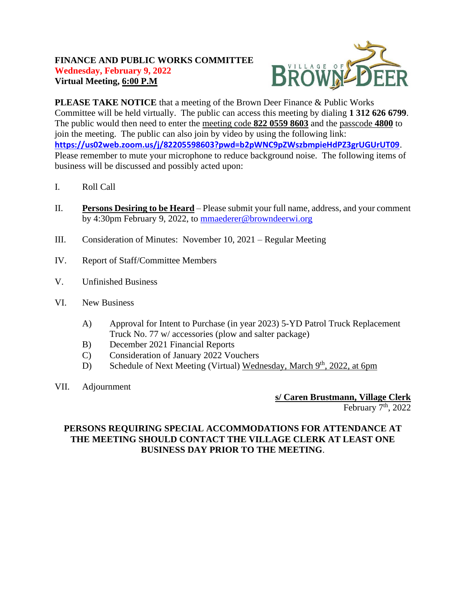### **FINANCE AND PUBLIC WORKS COMMITTEE Wednesday, February 9, 2022 Virtual Meeting, 6:00 P.M**



**PLEASE TAKE NOTICE** that a meeting of the Brown Deer Finance & Public Works Committee will be held virtually. The public can access this meeting by dialing **1 312 626 6799**. The public would then need to enter the meeting code **822 0559 8603** and the passcode **4800** to join the meeting. The public can also join by video by using the following link: **<https://us02web.zoom.us/j/82205598603?pwd=b2pWNC9pZWszbmpieHdPZ3grUGUrUT09>**. Please remember to mute your microphone to reduce background noise. The following items of business will be discussed and possibly acted upon:

- I. Roll Call
- II. **Persons Desiring to be Heard** Please submit your full name, address, and your comment by 4:30pm February 9, 2022, to [mmaederer@browndeerwi.org](mailto:mmaederer@browndeerwi.org)
- III. Consideration of Minutes: November 10, 2021 Regular Meeting
- IV. Report of Staff/Committee Members
- V. Unfinished Business
- VI. New Business
	- A) Approval for Intent to Purchase (in year 2023) 5-YD Patrol Truck Replacement Truck No. 77 w/ accessories (plow and salter package)
	- B) December 2021 Financial Reports
	- C) Consideration of January 2022 Vouchers
	- D) Schedule of Next Meeting (Virtual) Wednesday, March 9th, 2022, at 6pm
- VII. Adjournment

**s/ Caren Brustmann, Village Clerk**

February  $7<sup>th</sup>$ , 2022

### **PERSONS REQUIRING SPECIAL ACCOMMODATIONS FOR ATTENDANCE AT THE MEETING SHOULD CONTACT THE VILLAGE CLERK AT LEAST ONE BUSINESS DAY PRIOR TO THE MEETING**.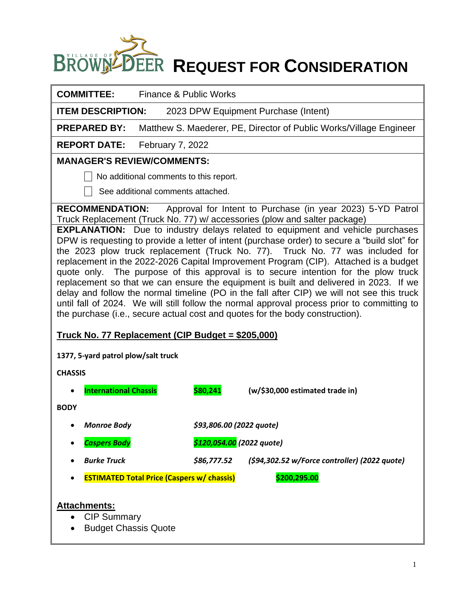# **BROWN-DEER REQUEST FOR CONSIDERATION**

| <b>COMMITTEE:</b>                                                                                                                                                                                                                                                                                                                                                                                                                                                                                                                                                                                                                                                                                                                                                                                                                                                                                                                                                                                                                                                                                                      | Finance & Public Works                            |                                                                    |
|------------------------------------------------------------------------------------------------------------------------------------------------------------------------------------------------------------------------------------------------------------------------------------------------------------------------------------------------------------------------------------------------------------------------------------------------------------------------------------------------------------------------------------------------------------------------------------------------------------------------------------------------------------------------------------------------------------------------------------------------------------------------------------------------------------------------------------------------------------------------------------------------------------------------------------------------------------------------------------------------------------------------------------------------------------------------------------------------------------------------|---------------------------------------------------|--------------------------------------------------------------------|
| <b>ITEM DESCRIPTION:</b>                                                                                                                                                                                                                                                                                                                                                                                                                                                                                                                                                                                                                                                                                                                                                                                                                                                                                                                                                                                                                                                                                               |                                                   | 2023 DPW Equipment Purchase (Intent)                               |
| <b>PREPARED BY:</b>                                                                                                                                                                                                                                                                                                                                                                                                                                                                                                                                                                                                                                                                                                                                                                                                                                                                                                                                                                                                                                                                                                    |                                                   | Matthew S. Maederer, PE, Director of Public Works/Village Engineer |
| <b>REPORT DATE:</b>                                                                                                                                                                                                                                                                                                                                                                                                                                                                                                                                                                                                                                                                                                                                                                                                                                                                                                                                                                                                                                                                                                    | February 7, 2022                                  |                                                                    |
| <b>MANAGER'S REVIEW/COMMENTS:</b>                                                                                                                                                                                                                                                                                                                                                                                                                                                                                                                                                                                                                                                                                                                                                                                                                                                                                                                                                                                                                                                                                      |                                                   |                                                                    |
|                                                                                                                                                                                                                                                                                                                                                                                                                                                                                                                                                                                                                                                                                                                                                                                                                                                                                                                                                                                                                                                                                                                        | No additional comments to this report.            |                                                                    |
|                                                                                                                                                                                                                                                                                                                                                                                                                                                                                                                                                                                                                                                                                                                                                                                                                                                                                                                                                                                                                                                                                                                        | See additional comments attached.                 |                                                                    |
| Approval for Intent to Purchase (in year 2023) 5-YD Patrol<br><b>RECOMMENDATION:</b><br>Truck Replacement (Truck No. 77) w/ accessories (plow and salter package)<br><b>EXPLANATION:</b> Due to industry delays related to equipment and vehicle purchases<br>DPW is requesting to provide a letter of intent (purchase order) to secure a "build slot" for<br>the 2023 plow truck replacement (Truck No. 77). Truck No. 77 was included for<br>replacement in the 2022-2026 Capital Improvement Program (CIP). Attached is a budget<br>quote only. The purpose of this approval is to secure intention for the plow truck<br>replacement so that we can ensure the equipment is built and delivered in 2023. If we<br>delay and follow the normal timeline (PO in the fall after CIP) we will not see this truck<br>until fall of 2024. We will still follow the normal approval process prior to committing to<br>the purchase (i.e., secure actual cost and quotes for the body construction).<br><u>Truck No. 77 Replacement (CIP Budget = \$205,000)</u><br>1377, 5-yard patrol plow/salt truck<br><b>CHASSIS</b> |                                                   |                                                                    |
| <b>International Chassis</b>                                                                                                                                                                                                                                                                                                                                                                                                                                                                                                                                                                                                                                                                                                                                                                                                                                                                                                                                                                                                                                                                                           | \$80,241                                          | (w/\$30,000 estimated trade in)                                    |
| <b>BODY</b>                                                                                                                                                                                                                                                                                                                                                                                                                                                                                                                                                                                                                                                                                                                                                                                                                                                                                                                                                                                                                                                                                                            |                                                   |                                                                    |
| <b>Monroe Body</b>                                                                                                                                                                                                                                                                                                                                                                                                                                                                                                                                                                                                                                                                                                                                                                                                                                                                                                                                                                                                                                                                                                     | \$93,806.00 (2022 quote)                          |                                                                    |
| <b>Caspers Body</b>                                                                                                                                                                                                                                                                                                                                                                                                                                                                                                                                                                                                                                                                                                                                                                                                                                                                                                                                                                                                                                                                                                    | \$120,054.00 (2022 quote)                         |                                                                    |
| <b>Burke Truck</b>                                                                                                                                                                                                                                                                                                                                                                                                                                                                                                                                                                                                                                                                                                                                                                                                                                                                                                                                                                                                                                                                                                     | \$86,777.52                                       | (\$94,302.52 w/Force controller) (2022 quote)                      |
|                                                                                                                                                                                                                                                                                                                                                                                                                                                                                                                                                                                                                                                                                                                                                                                                                                                                                                                                                                                                                                                                                                                        | <b>ESTIMATED Total Price (Caspers w/ chassis)</b> | \$200,295.00                                                       |
| <b>Attachments:</b><br><b>CIP Summary</b><br><b>Budget Chassis Quote</b>                                                                                                                                                                                                                                                                                                                                                                                                                                                                                                                                                                                                                                                                                                                                                                                                                                                                                                                                                                                                                                               |                                                   |                                                                    |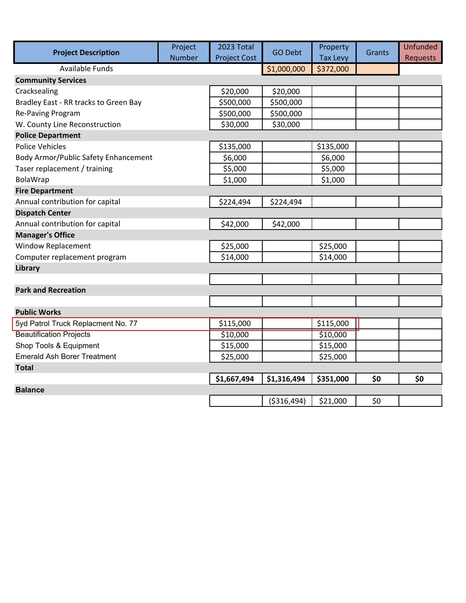| <b>Project Description</b>            | Project       | 2023 Total          | <b>GO Debt</b> | Property        | Grants | <b>Unfunded</b> |
|---------------------------------------|---------------|---------------------|----------------|-----------------|--------|-----------------|
|                                       | <b>Number</b> | <b>Project Cost</b> |                | <b>Tax Levy</b> |        | <b>Requests</b> |
| <b>Available Funds</b>                |               |                     | \$1,000,000    | \$372,000       |        |                 |
| <b>Community Services</b>             |               |                     |                |                 |        |                 |
| Cracksealing                          |               | \$20,000            | \$20,000       |                 |        |                 |
| Bradley East - RR tracks to Green Bay |               | \$500,000           | \$500,000      |                 |        |                 |
| Re-Paving Program                     |               | \$500,000           | \$500,000      |                 |        |                 |
| W. County Line Reconstruction         |               | \$30,000            | \$30,000       |                 |        |                 |
| <b>Police Department</b>              |               |                     |                |                 |        |                 |
| <b>Police Vehicles</b>                |               | \$135,000           |                | \$135,000       |        |                 |
| Body Armor/Public Safety Enhancement  |               | \$6,000             |                | \$6,000         |        |                 |
| Taser replacement / training          |               | \$5,000             |                | \$5,000         |        |                 |
| BolaWrap                              |               | \$1,000             |                | \$1,000         |        |                 |
| <b>Fire Department</b>                |               |                     |                |                 |        |                 |
| Annual contribution for capital       |               | \$224,494           | \$224,494      |                 |        |                 |
| <b>Dispatch Center</b>                |               |                     |                |                 |        |                 |
| Annual contribution for capital       |               | \$42,000            | \$42,000       |                 |        |                 |
| <b>Manager's Office</b>               |               |                     |                |                 |        |                 |
| <b>Window Replacement</b>             |               | \$25,000            |                | \$25,000        |        |                 |
| Computer replacement program          |               | \$14,000            |                | \$14,000        |        |                 |
| Library                               |               |                     |                |                 |        |                 |
|                                       |               |                     |                |                 |        |                 |
| <b>Park and Recreation</b>            |               |                     |                |                 |        |                 |
|                                       |               |                     |                |                 |        |                 |
| <b>Public Works</b>                   |               |                     |                |                 |        |                 |
| 5yd Patrol Truck Replacment No. 77    |               | \$115,000           |                | \$115,000       |        |                 |
| <b>Beautification Projects</b>        |               | \$10,000            |                | \$10,000        |        |                 |
| Shop Tools & Equipment                |               | \$15,000            |                | \$15,000        |        |                 |
| <b>Emerald Ash Borer Treatment</b>    |               | \$25,000            |                | \$25,000        |        |                 |
| <b>Total</b>                          |               |                     |                |                 |        |                 |
|                                       |               | \$1,667,494         | \$1,316,494    | \$351,000       | \$0    | \$0             |
| <b>Balance</b>                        |               |                     |                |                 |        |                 |
|                                       |               |                     | ( \$316,494)   | \$21,000        | \$0    |                 |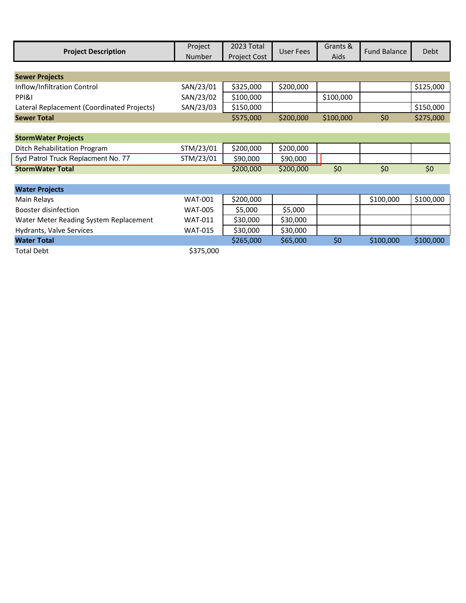| <b>Project Description</b>                 | Project<br>Number | 2023 Total<br>Project Cost | <b>User Fees</b> | Grants &<br>Aids | <b>Fund Balance</b> | Debt      |
|--------------------------------------------|-------------------|----------------------------|------------------|------------------|---------------------|-----------|
|                                            |                   |                            |                  |                  |                     |           |
| <b>Sewer Projects</b>                      |                   |                            |                  |                  |                     |           |
| Inflow/Infiltration Control                | SAN/23/01         | \$325,000                  | \$200,000        |                  |                     | \$125,000 |
| PPI&I                                      | SAN/23/02         | \$100,000                  |                  | \$100,000        |                     |           |
| Lateral Replacement (Coordinated Projects) | SAN/23/03         | \$150,000                  |                  |                  |                     | \$150,000 |
| <b>Sewer Total</b>                         |                   | \$575,000                  | \$200,000        | \$100,000        | \$0                 | \$275,000 |
|                                            |                   |                            |                  |                  |                     |           |
| <b>StormWater Projects</b>                 |                   |                            |                  |                  |                     |           |
| Ditch Rehabilitation Program               | STM/23/01         | \$200,000                  | \$200,000        |                  |                     |           |
| 5yd Patrol Truck Replacment No. 77         | STM/23/01         | \$90,000                   | \$90,000         |                  |                     |           |
| <b>StormWater Total</b>                    |                   | \$200,000                  | \$200,000        | \$0              | \$0                 | \$0       |
|                                            |                   |                            |                  |                  |                     |           |
| <b>Water Projects</b>                      |                   |                            |                  |                  |                     |           |
| Main Relays                                | <b>WAT-001</b>    | \$200,000                  |                  |                  | \$100,000           | \$100,000 |
| Booster disinfection                       | <b>WAT-005</b>    | \$5,000                    | \$5,000          |                  |                     |           |
| Water Meter Reading System Replacement     | <b>WAT-011</b>    | \$30,000                   | \$30,000         |                  |                     |           |
| Hydrants, Valve Services                   | <b>WAT-015</b>    | \$30,000                   | \$30,000         |                  |                     |           |
| <b>Water Total</b>                         |                   | \$265,000                  | \$65,000         | \$0              | \$100,000           | \$100,000 |
| Total Debt                                 | \$375,000         |                            |                  |                  |                     |           |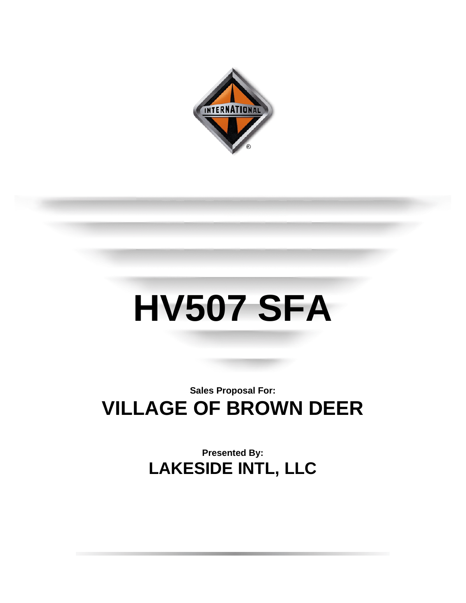

## **HV507 SFA**

### **Sales Proposal For: VILLAGE OF BROWN DEER**

**Presented By: LAKESIDE INTL, LLC**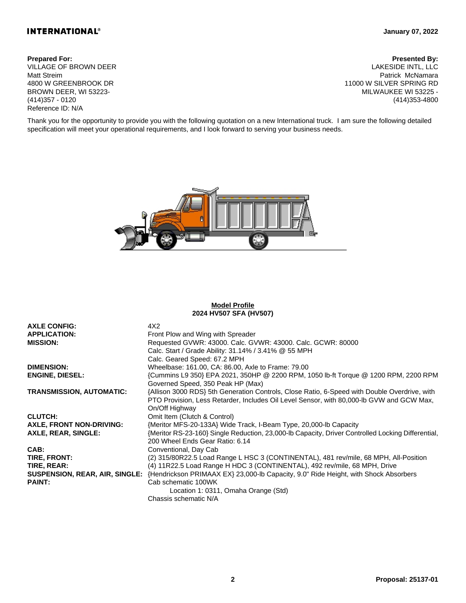#### **INTERNATIONAL®**

#### **January 07, 2022**

VILLAGE OF BROWN DEER Matt Streim 4800 W GREENBROOK DR BROWN DEER, WI 53223- (414)357 - 0120 Reference ID: N/A

**Prepared For: Presented By:** LAKESIDE INTL, LLC Patrick McNamara 11000 W SILVER SPRING RD MILWAUKEE WI 53225 - (414)353-4800

Thank you for the opportunity to provide you with the following quotation on a new International truck. I am sure the following detailed specification will meet your operational requirements, and I look forward to serving your business needs.



#### **Model Profile 2024 HV507 SFA (HV507)**

| <b>AXLE CONFIG:</b>             | 4X2                                                                                               |
|---------------------------------|---------------------------------------------------------------------------------------------------|
| <b>APPLICATION:</b>             | Front Plow and Wing with Spreader                                                                 |
| <b>MISSION:</b>                 | Requested GVWR: 43000. Calc. GVWR: 43000. Calc. GCWR: 80000                                       |
|                                 | Calc. Start / Grade Ability: 31.14% / 3.41% @ 55 MPH                                              |
|                                 | Calc. Geared Speed: 67.2 MPH                                                                      |
| <b>DIMENSION:</b>               | Wheelbase: 161.00, CA: 86.00, Axle to Frame: 79.00                                                |
| <b>ENGINE, DIESEL:</b>          | {Cummins L9 350} EPA 2021, 350HP @ 2200 RPM, 1050 lb-ft Torque @ 1200 RPM, 2200 RPM               |
|                                 | Governed Speed, 350 Peak HP (Max)                                                                 |
| <b>TRANSMISSION, AUTOMATIC:</b> | {Allison 3000 RDS} 5th Generation Controls, Close Ratio, 6-Speed with Double Overdrive, with      |
|                                 | PTO Provision, Less Retarder, Includes Oil Level Sensor, with 80,000-lb GVW and GCW Max,          |
|                                 | On/Off Highway                                                                                    |
| <b>CLUTCH:</b>                  | Omit Item (Clutch & Control)                                                                      |
| AXLE, FRONT NON-DRIVING:        | {Meritor MFS-20-133A} Wide Track, I-Beam Type, 20,000-lb Capacity                                 |
| AXLE, REAR, SINGLE:             | {Meritor RS-23-160} Single Reduction, 23,000-lb Capacity, Driver Controlled Locking Differential, |
|                                 | 200 Wheel Ends Gear Ratio: 6.14                                                                   |
| CAB:                            | Conventional, Day Cab                                                                             |
| TIRE, FRONT:                    | (2) 315/80R22.5 Load Range L HSC 3 (CONTINENTAL), 481 rev/mile, 68 MPH, All-Position              |
| TIRE, REAR:                     | (4) 11R22.5 Load Range H HDC 3 (CONTINENTAL), 492 rev/mile, 68 MPH, Drive                         |
| SUSPENSION, REAR, AIR, SINGLE:  | {Hendrickson PRIMAAX EX} 23,000-lb Capacity, 9.0" Ride Height, with Shock Absorbers               |
| <b>PAINT:</b>                   | Cab schematic 100WK                                                                               |
|                                 | Location 1: 0311, Omaha Orange (Std)                                                              |
|                                 | Chassis schematic N/A                                                                             |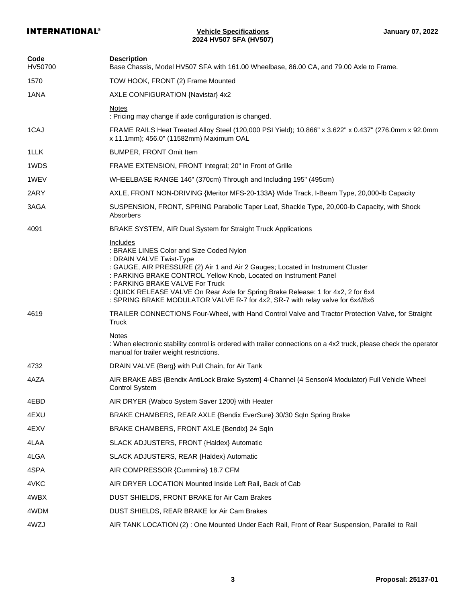| <b>Code</b><br>HV50700 | <b>Description</b><br>Base Chassis, Model HV507 SFA with 161.00 Wheelbase, 86.00 CA, and 79.00 Axle to Frame.                                                                                                                                                                                                                                                                                                                                    |
|------------------------|--------------------------------------------------------------------------------------------------------------------------------------------------------------------------------------------------------------------------------------------------------------------------------------------------------------------------------------------------------------------------------------------------------------------------------------------------|
| 1570                   | TOW HOOK, FRONT (2) Frame Mounted                                                                                                                                                                                                                                                                                                                                                                                                                |
| 1ANA                   | AXLE CONFIGURATION {Navistar} 4x2                                                                                                                                                                                                                                                                                                                                                                                                                |
|                        | <b>Notes</b>                                                                                                                                                                                                                                                                                                                                                                                                                                     |
|                        | : Pricing may change if axle configuration is changed.                                                                                                                                                                                                                                                                                                                                                                                           |
| 1CAJ                   | FRAME RAILS Heat Treated Alloy Steel (120,000 PSI Yield); 10.866" x 3.622" x 0.437" (276.0mm x 92.0mm<br>x 11.1mm); 456.0" (11582mm) Maximum OAL                                                                                                                                                                                                                                                                                                 |
| 1LLK                   | BUMPER, FRONT Omit Item                                                                                                                                                                                                                                                                                                                                                                                                                          |
| 1WDS                   | FRAME EXTENSION, FRONT Integral; 20" In Front of Grille                                                                                                                                                                                                                                                                                                                                                                                          |
| 1WEV                   | WHEELBASE RANGE 146" (370cm) Through and Including 195" (495cm)                                                                                                                                                                                                                                                                                                                                                                                  |
| 2ARY                   | AXLE, FRONT NON-DRIVING {Meritor MFS-20-133A} Wide Track, I-Beam Type, 20,000-lb Capacity                                                                                                                                                                                                                                                                                                                                                        |
| 3AGA                   | SUSPENSION, FRONT, SPRING Parabolic Taper Leaf, Shackle Type, 20,000-lb Capacity, with Shock<br>Absorbers                                                                                                                                                                                                                                                                                                                                        |
| 4091                   | BRAKE SYSTEM, AIR Dual System for Straight Truck Applications                                                                                                                                                                                                                                                                                                                                                                                    |
|                        | Includes<br>: BRAKE LINES Color and Size Coded Nylon<br>: DRAIN VALVE Twist-Type<br>: GAUGE, AIR PRESSURE (2) Air 1 and Air 2 Gauges; Located in Instrument Cluster<br>: PARKING BRAKE CONTROL Yellow Knob, Located on Instrument Panel<br>: PARKING BRAKE VALVE For Truck<br>: QUICK RELEASE VALVE On Rear Axle for Spring Brake Release: 1 for 4x2, 2 for 6x4<br>: SPRING BRAKE MODULATOR VALVE R-7 for 4x2, SR-7 with relay valve for 6x4/8x6 |
| 4619                   | TRAILER CONNECTIONS Four-Wheel, with Hand Control Valve and Tractor Protection Valve, for Straight<br>Truck                                                                                                                                                                                                                                                                                                                                      |
|                        | <b>Notes</b><br>: When electronic stability control is ordered with trailer connections on a 4x2 truck, please check the operator<br>manual for trailer weight restrictions.                                                                                                                                                                                                                                                                     |
| 4732                   | DRAIN VALVE {Berg} with Pull Chain, for Air Tank                                                                                                                                                                                                                                                                                                                                                                                                 |
| 4AZA                   | AIR BRAKE ABS {Bendix AntiLock Brake System} 4-Channel (4 Sensor/4 Modulator) Full Vehicle Wheel<br><b>Control System</b>                                                                                                                                                                                                                                                                                                                        |
| 4EBD                   | AIR DRYER {Wabco System Saver 1200} with Heater                                                                                                                                                                                                                                                                                                                                                                                                  |
| 4EXU                   | BRAKE CHAMBERS, REAR AXLE {Bendix EverSure} 30/30 Sqln Spring Brake                                                                                                                                                                                                                                                                                                                                                                              |
| 4EXV                   | BRAKE CHAMBERS, FRONT AXLE {Bendix} 24 Sqln                                                                                                                                                                                                                                                                                                                                                                                                      |
| 4LAA                   | SLACK ADJUSTERS, FRONT {Haldex} Automatic                                                                                                                                                                                                                                                                                                                                                                                                        |
| 4LGA                   | SLACK ADJUSTERS, REAR {Haldex} Automatic                                                                                                                                                                                                                                                                                                                                                                                                         |
| 4SPA                   | AIR COMPRESSOR {Cummins} 18.7 CFM                                                                                                                                                                                                                                                                                                                                                                                                                |
| 4VKC                   | AIR DRYER LOCATION Mounted Inside Left Rail, Back of Cab                                                                                                                                                                                                                                                                                                                                                                                         |
| 4WBX                   | DUST SHIELDS, FRONT BRAKE for Air Cam Brakes                                                                                                                                                                                                                                                                                                                                                                                                     |
| 4WDM                   | DUST SHIELDS, REAR BRAKE for Air Cam Brakes                                                                                                                                                                                                                                                                                                                                                                                                      |
| 4WZJ                   | AIR TANK LOCATION (2) : One Mounted Under Each Rail, Front of Rear Suspension, Parallel to Rail                                                                                                                                                                                                                                                                                                                                                  |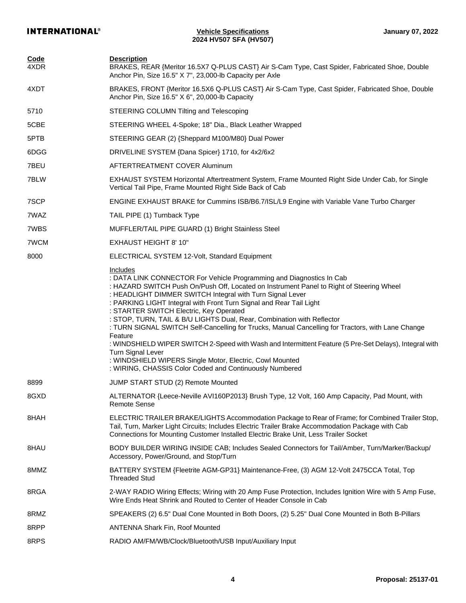| <b>Code</b><br>4XDR | <b>Description</b><br>BRAKES, REAR {Meritor 16.5X7 Q-PLUS CAST} Air S-Cam Type, Cast Spider, Fabricated Shoe, Double<br>Anchor Pin, Size 16.5" X 7", 23,000-lb Capacity per Axle                                                                                                                                                                                                                                                                                                                                                                                                                                                                                                                                                                                                                            |
|---------------------|-------------------------------------------------------------------------------------------------------------------------------------------------------------------------------------------------------------------------------------------------------------------------------------------------------------------------------------------------------------------------------------------------------------------------------------------------------------------------------------------------------------------------------------------------------------------------------------------------------------------------------------------------------------------------------------------------------------------------------------------------------------------------------------------------------------|
| 4XDT                | BRAKES, FRONT {Meritor 16.5X6 Q-PLUS CAST} Air S-Cam Type, Cast Spider, Fabricated Shoe, Double<br>Anchor Pin, Size 16.5" X 6", 20,000-lb Capacity                                                                                                                                                                                                                                                                                                                                                                                                                                                                                                                                                                                                                                                          |
| 5710                | STEERING COLUMN Tilting and Telescoping                                                                                                                                                                                                                                                                                                                                                                                                                                                                                                                                                                                                                                                                                                                                                                     |
| 5CBE                | STEERING WHEEL 4-Spoke; 18" Dia., Black Leather Wrapped                                                                                                                                                                                                                                                                                                                                                                                                                                                                                                                                                                                                                                                                                                                                                     |
| 5PTB                | STEERING GEAR (2) {Sheppard M100/M80} Dual Power                                                                                                                                                                                                                                                                                                                                                                                                                                                                                                                                                                                                                                                                                                                                                            |
| 6DGG                | DRIVELINE SYSTEM {Dana Spicer} 1710, for 4x2/6x2                                                                                                                                                                                                                                                                                                                                                                                                                                                                                                                                                                                                                                                                                                                                                            |
| 7BEU                | AFTERTREATMENT COVER Aluminum                                                                                                                                                                                                                                                                                                                                                                                                                                                                                                                                                                                                                                                                                                                                                                               |
| 7BLW                | EXHAUST SYSTEM Horizontal Aftertreatment System, Frame Mounted Right Side Under Cab, for Single<br>Vertical Tail Pipe, Frame Mounted Right Side Back of Cab                                                                                                                                                                                                                                                                                                                                                                                                                                                                                                                                                                                                                                                 |
| 7SCP                | ENGINE EXHAUST BRAKE for Cummins ISB/B6.7/ISL/L9 Engine with Variable Vane Turbo Charger                                                                                                                                                                                                                                                                                                                                                                                                                                                                                                                                                                                                                                                                                                                    |
| 7WAZ                | TAIL PIPE (1) Turnback Type                                                                                                                                                                                                                                                                                                                                                                                                                                                                                                                                                                                                                                                                                                                                                                                 |
| 7WBS                | MUFFLER/TAIL PIPE GUARD (1) Bright Stainless Steel                                                                                                                                                                                                                                                                                                                                                                                                                                                                                                                                                                                                                                                                                                                                                          |
| 7WCM                | <b>EXHAUST HEIGHT 8' 10"</b>                                                                                                                                                                                                                                                                                                                                                                                                                                                                                                                                                                                                                                                                                                                                                                                |
| 8000                | ELECTRICAL SYSTEM 12-Volt, Standard Equipment                                                                                                                                                                                                                                                                                                                                                                                                                                                                                                                                                                                                                                                                                                                                                               |
|                     | Includes<br>: DATA LINK CONNECTOR For Vehicle Programming and Diagnostics In Cab<br>: HAZARD SWITCH Push On/Push Off, Located on Instrument Panel to Right of Steering Wheel<br>: HEADLIGHT DIMMER SWITCH Integral with Turn Signal Lever<br>: PARKING LIGHT Integral with Front Turn Signal and Rear Tail Light<br>: STARTER SWITCH Electric, Key Operated<br>: STOP, TURN, TAIL & B/U LIGHTS Dual, Rear, Combination with Reflector<br>: TURN SIGNAL SWITCH Self-Cancelling for Trucks, Manual Cancelling for Tractors, with Lane Change<br>Feature<br>: WINDSHIELD WIPER SWITCH 2-Speed with Wash and Intermittent Feature (5 Pre-Set Delays), Integral with<br>Turn Signal Lever<br>: WINDSHIELD WIPERS Single Motor, Electric, Cowl Mounted<br>: WIRING, CHASSIS Color Coded and Continuously Numbered |
| 8899                | JUMP START STUD (2) Remote Mounted                                                                                                                                                                                                                                                                                                                                                                                                                                                                                                                                                                                                                                                                                                                                                                          |
| 8GXD                | ALTERNATOR {Leece-Neville AVI160P2013} Brush Type, 12 Volt, 160 Amp Capacity, Pad Mount, with<br><b>Remote Sense</b>                                                                                                                                                                                                                                                                                                                                                                                                                                                                                                                                                                                                                                                                                        |
| 8HAH                | ELECTRIC TRAILER BRAKE/LIGHTS Accommodation Package to Rear of Frame; for Combined Trailer Stop,<br>Tail, Turn, Marker Light Circuits; Includes Electric Trailer Brake Accommodation Package with Cab<br>Connections for Mounting Customer Installed Electric Brake Unit, Less Trailer Socket                                                                                                                                                                                                                                                                                                                                                                                                                                                                                                               |
| 8HAU                | BODY BUILDER WIRING INSIDE CAB; Includes Sealed Connectors for Tail/Amber, Turn/Marker/Backup/<br>Accessory, Power/Ground, and Stop/Turn                                                                                                                                                                                                                                                                                                                                                                                                                                                                                                                                                                                                                                                                    |
| 8MMZ                | BATTERY SYSTEM {Fleetrite AGM-GP31} Maintenance-Free, (3) AGM 12-Volt 2475CCA Total, Top<br><b>Threaded Stud</b>                                                                                                                                                                                                                                                                                                                                                                                                                                                                                                                                                                                                                                                                                            |
| 8RGA                | 2-WAY RADIO Wiring Effects; Wiring with 20 Amp Fuse Protection, Includes Ignition Wire with 5 Amp Fuse,<br>Wire Ends Heat Shrink and Routed to Center of Header Console in Cab                                                                                                                                                                                                                                                                                                                                                                                                                                                                                                                                                                                                                              |
| 8RMZ                | SPEAKERS (2) 6.5" Dual Cone Mounted in Both Doors, (2) 5.25" Dual Cone Mounted in Both B-Pillars                                                                                                                                                                                                                                                                                                                                                                                                                                                                                                                                                                                                                                                                                                            |
| 8RPP                | <b>ANTENNA Shark Fin, Roof Mounted</b>                                                                                                                                                                                                                                                                                                                                                                                                                                                                                                                                                                                                                                                                                                                                                                      |
| 8RPS                | RADIO AM/FM/WB/Clock/Bluetooth/USB Input/Auxiliary Input                                                                                                                                                                                                                                                                                                                                                                                                                                                                                                                                                                                                                                                                                                                                                    |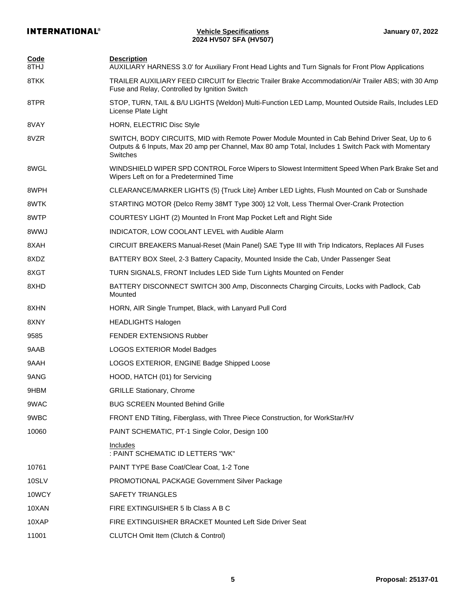| <b>Code</b><br>8THJ | <b>Description</b><br>AUXILIARY HARNESS 3.0' for Auxiliary Front Head Lights and Turn Signals for Front Plow Applications                                                                                         |
|---------------------|-------------------------------------------------------------------------------------------------------------------------------------------------------------------------------------------------------------------|
| 8TKK                | TRAILER AUXILIARY FEED CIRCUIT for Electric Trailer Brake Accommodation/Air Trailer ABS; with 30 Amp<br>Fuse and Relay, Controlled by Ignition Switch                                                             |
| 8TPR                | STOP, TURN, TAIL & B/U LIGHTS {Weldon} Multi-Function LED Lamp, Mounted Outside Rails, Includes LED<br>License Plate Light                                                                                        |
| 8VAY                | HORN, ELECTRIC Disc Style                                                                                                                                                                                         |
| 8VZR                | SWITCH, BODY CIRCUITS, MID with Remote Power Module Mounted in Cab Behind Driver Seat, Up to 6<br>Outputs & 6 Inputs, Max 20 amp per Channel, Max 80 amp Total, Includes 1 Switch Pack with Momentary<br>Switches |
| 8WGL                | WINDSHIELD WIPER SPD CONTROL Force Wipers to Slowest Intermittent Speed When Park Brake Set and<br>Wipers Left on for a Predetermined Time                                                                        |
| 8WPH                | CLEARANCE/MARKER LIGHTS (5) {Truck Lite} Amber LED Lights, Flush Mounted on Cab or Sunshade                                                                                                                       |
| 8WTK                | STARTING MOTOR {Delco Remy 38MT Type 300} 12 Volt, Less Thermal Over-Crank Protection                                                                                                                             |
| 8WTP                | COURTESY LIGHT (2) Mounted In Front Map Pocket Left and Right Side                                                                                                                                                |
| 8WWJ                | INDICATOR, LOW COOLANT LEVEL with Audible Alarm                                                                                                                                                                   |
| 8XAH                | CIRCUIT BREAKERS Manual-Reset (Main Panel) SAE Type III with Trip Indicators, Replaces All Fuses                                                                                                                  |
| 8XDZ                | BATTERY BOX Steel, 2-3 Battery Capacity, Mounted Inside the Cab, Under Passenger Seat                                                                                                                             |
| 8XGT                | TURN SIGNALS, FRONT Includes LED Side Turn Lights Mounted on Fender                                                                                                                                               |
| 8XHD                | BATTERY DISCONNECT SWITCH 300 Amp, Disconnects Charging Circuits, Locks with Padlock, Cab<br>Mounted                                                                                                              |
| 8XHN                | HORN, AIR Single Trumpet, Black, with Lanyard Pull Cord                                                                                                                                                           |
| 8XNY                | <b>HEADLIGHTS Halogen</b>                                                                                                                                                                                         |
| 9585                | <b>FENDER EXTENSIONS Rubber</b>                                                                                                                                                                                   |
| 9AAB                | <b>LOGOS EXTERIOR Model Badges</b>                                                                                                                                                                                |
| 9AAH                | LOGOS EXTERIOR, ENGINE Badge Shipped Loose                                                                                                                                                                        |
| 9ANG                | HOOD, HATCH (01) for Servicing                                                                                                                                                                                    |
| 9HBM                | <b>GRILLE Stationary, Chrome</b>                                                                                                                                                                                  |
| 9WAC                | <b>BUG SCREEN Mounted Behind Grille</b>                                                                                                                                                                           |
| 9WBC                | FRONT END Tilting, Fiberglass, with Three Piece Construction, for WorkStar/HV                                                                                                                                     |
| 10060               | PAINT SCHEMATIC, PT-1 Single Color, Design 100                                                                                                                                                                    |
|                     | Includes<br>: PAINT SCHEMATIC ID LETTERS "WK"                                                                                                                                                                     |
| 10761               | PAINT TYPE Base Coat/Clear Coat, 1-2 Tone                                                                                                                                                                         |
| 10SLV               | PROMOTIONAL PACKAGE Government Silver Package                                                                                                                                                                     |
| 10WCY               | SAFETY TRIANGLES                                                                                                                                                                                                  |
| 10XAN               | FIRE EXTINGUISHER 5 lb Class A B C                                                                                                                                                                                |
| 10XAP               | FIRE EXTINGUISHER BRACKET Mounted Left Side Driver Seat                                                                                                                                                           |
| 11001               | <b>CLUTCH Omit Item (Clutch &amp; Control)</b>                                                                                                                                                                    |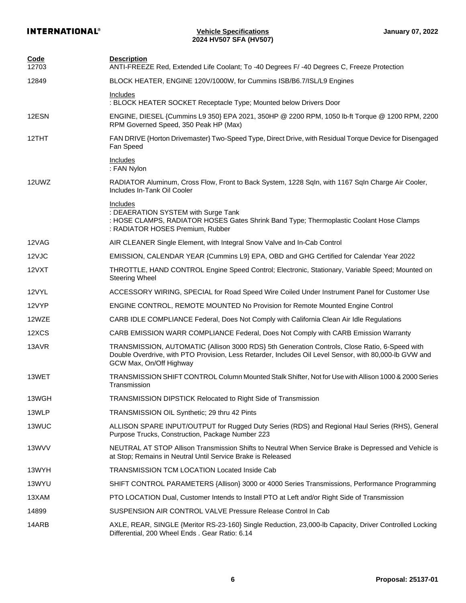| Code<br>12703 | <b>Description</b><br>ANTI-FREEZE Red, Extended Life Coolant; To -40 Degrees F/ -40 Degrees C, Freeze Protection                                                                                                                   |
|---------------|------------------------------------------------------------------------------------------------------------------------------------------------------------------------------------------------------------------------------------|
| 12849         | BLOCK HEATER, ENGINE 120V/1000W, for Cummins ISB/B6.7/ISL/L9 Engines                                                                                                                                                               |
|               | Includes<br>: BLOCK HEATER SOCKET Receptacle Type; Mounted below Drivers Door                                                                                                                                                      |
| 12ESN         | ENGINE, DIESEL {Cummins L9 350} EPA 2021, 350HP @ 2200 RPM, 1050 lb-ft Torque @ 1200 RPM, 2200<br>RPM Governed Speed, 350 Peak HP (Max)                                                                                            |
| 12THT         | FAN DRIVE {Horton Drivemaster} Two-Speed Type, Direct Drive, with Residual Torque Device for Disengaged<br>Fan Speed                                                                                                               |
|               | Includes<br>: FAN Nylon                                                                                                                                                                                                            |
| 12UWZ         | RADIATOR Aluminum, Cross Flow, Front to Back System, 1228 Sqln, with 1167 Sqln Charge Air Cooler,<br>Includes In-Tank Oil Cooler                                                                                                   |
|               | <b>Includes</b><br>: DEAERATION SYSTEM with Surge Tank<br>: HOSE CLAMPS, RADIATOR HOSES Gates Shrink Band Type; Thermoplastic Coolant Hose Clamps<br>: RADIATOR HOSES Premium, Rubber                                              |
| 12VAG         | AIR CLEANER Single Element, with Integral Snow Valve and In-Cab Control                                                                                                                                                            |
| 12VJC         | EMISSION, CALENDAR YEAR {Cummins L9} EPA, OBD and GHG Certified for Calendar Year 2022                                                                                                                                             |
| 12VXT         | THROTTLE, HAND CONTROL Engine Speed Control; Electronic, Stationary, Variable Speed; Mounted on<br><b>Steering Wheel</b>                                                                                                           |
| 12VYL         | ACCESSORY WIRING, SPECIAL for Road Speed Wire Coiled Under Instrument Panel for Customer Use                                                                                                                                       |
| 12VYP         | ENGINE CONTROL, REMOTE MOUNTED No Provision for Remote Mounted Engine Control                                                                                                                                                      |
| 12WZE         | CARB IDLE COMPLIANCE Federal, Does Not Comply with California Clean Air Idle Regulations                                                                                                                                           |
| 12XCS         | CARB EMISSION WARR COMPLIANCE Federal, Does Not Comply with CARB Emission Warranty                                                                                                                                                 |
| 13AVR         | TRANSMISSION, AUTOMATIC {Allison 3000 RDS} 5th Generation Controls, Close Ratio, 6-Speed with<br>Double Overdrive, with PTO Provision, Less Retarder, Includes Oil Level Sensor, with 80,000-lb GVW and<br>GCW Max, On/Off Highway |
| 13WET         | TRANSMISSION SHIFT CONTROL Column Mounted Stalk Shifter, Not for Use with Allison 1000 & 2000 Series<br>Transmission                                                                                                               |
| 13WGH         | TRANSMISSION DIPSTICK Relocated to Right Side of Transmission                                                                                                                                                                      |
| 13WLP         | TRANSMISSION OIL Synthetic; 29 thru 42 Pints                                                                                                                                                                                       |
| 13WUC         | ALLISON SPARE INPUT/OUTPUT for Rugged Duty Series (RDS) and Regional Haul Series (RHS), General<br>Purpose Trucks, Construction, Package Number 223                                                                                |
| 13WVV         | NEUTRAL AT STOP Allison Transmission Shifts to Neutral When Service Brake is Depressed and Vehicle is<br>at Stop; Remains in Neutral Until Service Brake is Released                                                               |
| 13WYH         | <b>TRANSMISSION TCM LOCATION Located Inside Cab</b>                                                                                                                                                                                |
| 13WYU         | SHIFT CONTROL PARAMETERS {Allison} 3000 or 4000 Series Transmissions, Performance Programming                                                                                                                                      |
| 13XAM         | PTO LOCATION Dual, Customer Intends to Install PTO at Left and/or Right Side of Transmission                                                                                                                                       |
| 14899         | SUSPENSION AIR CONTROL VALVE Pressure Release Control In Cab                                                                                                                                                                       |
| 14ARB         | AXLE, REAR, SINGLE {Meritor RS-23-160} Single Reduction, 23,000-lb Capacity, Driver Controlled Locking<br>Differential, 200 Wheel Ends. Gear Ratio: 6.14                                                                           |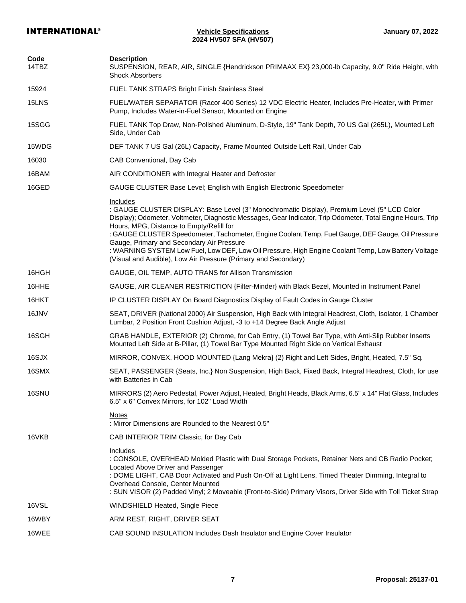| Code<br>14TBZ | <b>Description</b><br>SUSPENSION, REAR, AIR, SINGLE {Hendrickson PRIMAAX EX} 23,000-lb Capacity, 9.0" Ride Height, with<br><b>Shock Absorbers</b>                                                                                                                                                                                                                                                                                                                                                                                                                                             |
|---------------|-----------------------------------------------------------------------------------------------------------------------------------------------------------------------------------------------------------------------------------------------------------------------------------------------------------------------------------------------------------------------------------------------------------------------------------------------------------------------------------------------------------------------------------------------------------------------------------------------|
| 15924         | <b>FUEL TANK STRAPS Bright Finish Stainless Steel</b>                                                                                                                                                                                                                                                                                                                                                                                                                                                                                                                                         |
| 15LNS         | FUEL/WATER SEPARATOR {Racor 400 Series} 12 VDC Electric Heater, Includes Pre-Heater, with Primer<br>Pump, Includes Water-in-Fuel Sensor, Mounted on Engine                                                                                                                                                                                                                                                                                                                                                                                                                                    |
| 15SGG         | FUEL TANK Top Draw, Non-Polished Aluminum, D-Style, 19" Tank Depth, 70 US Gal (265L), Mounted Left<br>Side, Under Cab                                                                                                                                                                                                                                                                                                                                                                                                                                                                         |
| 15WDG         | DEF TANK 7 US Gal (26L) Capacity, Frame Mounted Outside Left Rail, Under Cab                                                                                                                                                                                                                                                                                                                                                                                                                                                                                                                  |
| 16030         | CAB Conventional, Day Cab                                                                                                                                                                                                                                                                                                                                                                                                                                                                                                                                                                     |
| 16BAM         | AIR CONDITIONER with Integral Heater and Defroster                                                                                                                                                                                                                                                                                                                                                                                                                                                                                                                                            |
| 16GED         | GAUGE CLUSTER Base Level; English with English Electronic Speedometer                                                                                                                                                                                                                                                                                                                                                                                                                                                                                                                         |
|               | Includes<br>: GAUGE CLUSTER DISPLAY: Base Level (3" Monochromatic Display), Premium Level (5" LCD Color<br>Display); Odometer, Voltmeter, Diagnostic Messages, Gear Indicator, Trip Odometer, Total Engine Hours, Trip<br>Hours, MPG, Distance to Empty/Refill for<br>: GAUGE CLUSTER Speedometer, Tachometer, Engine Coolant Temp, Fuel Gauge, DEF Gauge, Oil Pressure<br>Gauge, Primary and Secondary Air Pressure<br>: WARNING SYSTEM Low Fuel, Low DEF, Low Oil Pressure, High Engine Coolant Temp, Low Battery Voltage<br>(Visual and Audible), Low Air Pressure (Primary and Secondary) |
| 16HGH         | GAUGE, OIL TEMP, AUTO TRANS for Allison Transmission                                                                                                                                                                                                                                                                                                                                                                                                                                                                                                                                          |
| 16HHE         | GAUGE, AIR CLEANER RESTRICTION {Filter-Minder} with Black Bezel, Mounted in Instrument Panel                                                                                                                                                                                                                                                                                                                                                                                                                                                                                                  |
| 16HKT         | IP CLUSTER DISPLAY On Board Diagnostics Display of Fault Codes in Gauge Cluster                                                                                                                                                                                                                                                                                                                                                                                                                                                                                                               |
| 16JNV         | SEAT, DRIVER {National 2000} Air Suspension, High Back with Integral Headrest, Cloth, Isolator, 1 Chamber<br>Lumbar, 2 Position Front Cushion Adjust, -3 to +14 Degree Back Angle Adjust                                                                                                                                                                                                                                                                                                                                                                                                      |
| 16SGH         | GRAB HANDLE, EXTERIOR (2) Chrome, for Cab Entry, (1) Towel Bar Type, with Anti-Slip Rubber Inserts<br>Mounted Left Side at B-Pillar, (1) Towel Bar Type Mounted Right Side on Vertical Exhaust                                                                                                                                                                                                                                                                                                                                                                                                |
| 16SJX         | MIRROR, CONVEX, HOOD MOUNTED {Lang Mekra} (2) Right and Left Sides, Bright, Heated, 7.5" Sq.                                                                                                                                                                                                                                                                                                                                                                                                                                                                                                  |
| 16SMX         | SEAT, PASSENGER {Seats, Inc.} Non Suspension, High Back, Fixed Back, Integral Headrest, Cloth, for use<br>with Batteries in Cab                                                                                                                                                                                                                                                                                                                                                                                                                                                               |
| 16SNU         | MIRRORS (2) Aero Pedestal, Power Adjust, Heated, Bright Heads, Black Arms, 6.5" x 14" Flat Glass, Includes<br>6.5" x 6" Convex Mirrors, for 102" Load Width                                                                                                                                                                                                                                                                                                                                                                                                                                   |
|               | <b>Notes</b><br>: Mirror Dimensions are Rounded to the Nearest 0.5"                                                                                                                                                                                                                                                                                                                                                                                                                                                                                                                           |
| 16VKB         | CAB INTERIOR TRIM Classic, for Day Cab                                                                                                                                                                                                                                                                                                                                                                                                                                                                                                                                                        |
|               | Includes<br>: CONSOLE, OVERHEAD Molded Plastic with Dual Storage Pockets, Retainer Nets and CB Radio Pocket;<br>Located Above Driver and Passenger<br>: DOME LIGHT, CAB Door Activated and Push On-Off at Light Lens, Timed Theater Dimming, Integral to<br>Overhead Console, Center Mounted<br>: SUN VISOR (2) Padded Vinyl; 2 Moveable (Front-to-Side) Primary Visors, Driver Side with Toll Ticket Strap                                                                                                                                                                                   |
| 16VSL         | WINDSHIELD Heated, Single Piece                                                                                                                                                                                                                                                                                                                                                                                                                                                                                                                                                               |
| 16WBY         | ARM REST, RIGHT, DRIVER SEAT                                                                                                                                                                                                                                                                                                                                                                                                                                                                                                                                                                  |
| 16WEE         | CAB SOUND INSULATION Includes Dash Insulator and Engine Cover Insulator                                                                                                                                                                                                                                                                                                                                                                                                                                                                                                                       |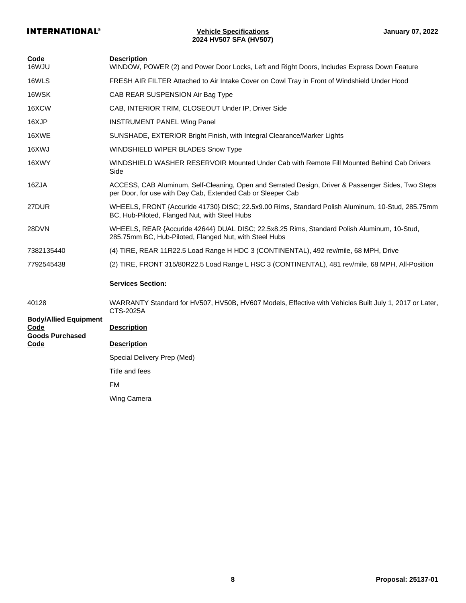| Code<br>16WJU                                                          | <b>Description</b><br>WINDOW, POWER (2) and Power Door Locks, Left and Right Doors, Includes Express Down Feature                                                 |
|------------------------------------------------------------------------|-------------------------------------------------------------------------------------------------------------------------------------------------------------------|
| 16WLS                                                                  | FRESH AIR FILTER Attached to Air Intake Cover on Cowl Tray in Front of Windshield Under Hood                                                                      |
| 16WSK                                                                  | CAB REAR SUSPENSION Air Bag Type                                                                                                                                  |
| 16XCW                                                                  | CAB, INTERIOR TRIM, CLOSEOUT Under IP, Driver Side                                                                                                                |
| 16XJP                                                                  | <b>INSTRUMENT PANEL Wing Panel</b>                                                                                                                                |
| 16XWE                                                                  | SUNSHADE, EXTERIOR Bright Finish, with Integral Clearance/Marker Lights                                                                                           |
| 16XWJ                                                                  | <b>WINDSHIELD WIPER BLADES Snow Type</b>                                                                                                                          |
| 16XWY                                                                  | WINDSHIELD WASHER RESERVOIR Mounted Under Cab with Remote Fill Mounted Behind Cab Drivers<br>Side                                                                 |
| 16ZJA                                                                  | ACCESS, CAB Aluminum, Self-Cleaning, Open and Serrated Design, Driver & Passenger Sides, Two Steps<br>per Door, for use with Day Cab, Extended Cab or Sleeper Cab |
| 27DUR                                                                  | WHEELS, FRONT {Accuride 41730} DISC; 22.5x9.00 Rims, Standard Polish Aluminum, 10-Stud, 285.75mm<br>BC, Hub-Piloted, Flanged Nut, with Steel Hubs                 |
| 28DVN                                                                  | WHEELS, REAR {Accuride 42644} DUAL DISC; 22.5x8.25 Rims, Standard Polish Aluminum, 10-Stud,<br>285.75mm BC, Hub-Piloted, Flanged Nut, with Steel Hubs             |
| 7382135440                                                             | (4) TIRE, REAR 11R22.5 Load Range H HDC 3 (CONTINENTAL), 492 rev/mile, 68 MPH, Drive                                                                              |
| 7792545438                                                             | (2) TIRE, FRONT 315/80R22.5 Load Range L HSC 3 (CONTINENTAL), 481 rev/mile, 68 MPH, All-Position                                                                  |
|                                                                        | <b>Services Section:</b>                                                                                                                                          |
| 40128                                                                  | WARRANTY Standard for HV507, HV50B, HV607 Models, Effective with Vehicles Built July 1, 2017 or Later,<br>CTS-2025A                                               |
| <b>Body/Allied Equipment</b><br>Code<br><b>Goods Purchased</b><br>Code | <b>Description</b>                                                                                                                                                |
|                                                                        | <b>Description</b>                                                                                                                                                |
|                                                                        | Special Delivery Prep (Med)                                                                                                                                       |
|                                                                        | Title and fees                                                                                                                                                    |
|                                                                        | FM                                                                                                                                                                |
|                                                                        | Wing Camera                                                                                                                                                       |